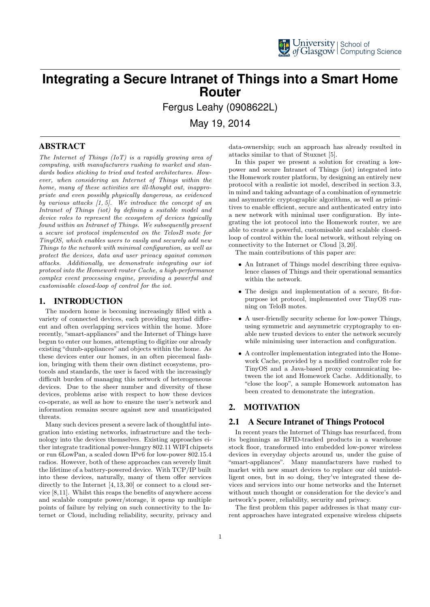

## **Integrating a Secure Intranet of Things into a Smart Home Router**

Fergus Leahy (0908622L)

May 19, 2014

## ABSTRACT

The Internet of Things (IoT) is a rapidly growing area of computing, with manufacturers rushing to market and standards bodies sticking to tried and tested architectures. However, when considering an Internet of Things within the home, many of these activities are ill-thought out, inappropriate and even possibly physically dangerous, as evidenced by various attacks  $(1, 5)$ . We introduce the concept of an Intranet of Things (iot) by defining a suitable model and device roles to represent the ecosystem of devices typically found within an Intranet of Things. We subsequently present a secure iot protocol implemented on the TelosB mote for TinyOS, which enables users to easily and securely add new Things to the network with minimal configuration, as well as protect the devices, data and user privacy against common attacks. Additionally, we demonstrate integrating our iot protocol into the Homework router Cache, a high-performance complex event processing engine, providing a powerful and customisable closed-loop of control for the iot.

## 1. INTRODUCTION

The modern home is becoming increasingly filled with a variety of connected devices, each providing myriad different and often overlapping services within the home. More recently, "smart-appliances" and the Internet of Things have begun to enter our homes, attempting to digitize our already existing "dumb-appliances" and objects within the home. As these devices enter our homes, in an often piecemeal fashion, bringing with them their own distinct ecosystems, protocols and standards, the user is faced with the increasingly difficult burden of managing this network of heterogeneous devices. Due to the sheer number and diversity of these devices, problems arise with respect to how these devices co-operate, as well as how to ensure the user's network and information remains secure against new and unanticipated threats.

Many such devices present a severe lack of thoughtful integration into existing networks, infrastructure and the technology into the devices themselves. Existing approaches either integrate traditional power-hungry 802.11 WIFI chipsets or run 6LowPan, a scaled down IPv6 for low-power 802.15.4 radios. However, both of these approaches can severely limit the lifetime of a battery-powered device. With TCP/IP built into these devices, naturally, many of them offer services directly to the Internet  $[4, 13, 30]$  or connect to a cloud service [8,11]. Whilst this reaps the benefits of anywhere access and scalable compute power/storage, it opens up multiple points of failure by relying on such connectivity to the Internet or Cloud, including reliability, security, privacy and

data-ownership; such an approach has already resulted in attacks similar to that of Stuxnet [5].

In this paper we present a solution for creating a lowpower and secure Intranet of Things (iot) integrated into the Homework router platform, by designing an entirely new protocol with a realistic iot model, described in section 3.3, in mind and taking advantage of a combination of symmetric and asymmetric cryptographic algorithms, as well as primitives to enable efficient, secure and authenticated entry into a new network with minimal user configuration. By integrating the iot protocol into the Homework router, we are able to create a powerful, customisable and scalable closedloop of control within the local network, without relying on connectivity to the Internet or Cloud [3, 20].

The main contributions of this paper are:

- An Intranet of Things model describing three equivalence classes of Things and their operational semantics within the network.
- The design and implementation of a secure, fit-forpurpose iot protocol, implemented over TinyOS running on TeloB motes.
- A user-friendly security scheme for low-power Things, using symmetric and asymmetric cryptography to enable new trusted devices to enter the network securely while minimising user interaction and configuration.
- A controller implementation integrated into the Homework Cache, provided by a modified controller role for TinyOS and a Java-based proxy communicating between the iot and Homework Cache. Additionally, to "close the loop", a sample Homework automaton has been created to demonstrate the integration.

## 2. MOTIVATION

## 2.1 A Secure Intranet of Things Protocol

In recent years the Internet of Things has resurfaced, from its beginnings as RFID-tracked products in a warehouse stock floor, transformed into embedded low-power wireless devices in everyday objects around us, under the guise of "smart-appliances". Many manufacturers have rushed to market with new smart devices to replace our old unintelligent ones, but in so doing, they've integrated these devices and services into our home networks and the Internet without much thought or consideration for the device's and network's power, reliability, security and privacy.

The first problem this paper addresses is that many current approaches have integrated expensive wireless chipsets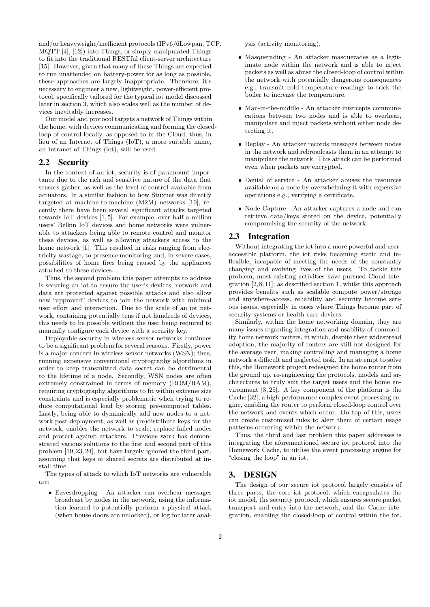and/or heavyweight/inefficient protocols (IPv6/6Lowpan, TCP, MQTT [4], [12]) into Things, or simply manipulated Things to fit into the traditional RESTful client-server architecture [15]. However, given that many of these Things are expected to run unattended on battery-power for as long as possible, these approaches are largely inappropriate. Therefore, it's necessary to engineer a new, lightweight, power-efficient protocol, specifically tailored for the typical iot model discussed later in section 3, which also scales well as the number of devices inevitably increases.

Our model and protocol targets a network of Things within the home, with devices communicating and forming the closedloop of control locally, as opposed to in the Cloud; thus, in lieu of an Internet of Things (IoT), a more suitable name, an Intranet of Things (iot), will be used.

## 2.2 Security

In the context of an iot, security is of paramount importance due to the rich and sensitive nature of the data that sensors gather, as well as the level of control available from actuators. In a similar fashion to how Stuxnet was directly targeted at machine-to-machine (M2M) networks [10], recently there have been several significant attacks targeted towards IoT devices [1, 5]. For example, over half a million users' Belkin IoT devices and home networks were vulnerable to attackers being able to remote control and monitor these devices, as well as allowing attackers access to the home network [1]. This resulted in risks ranging from electricity wastage, to presence monitoring and, in severe cases, possibilities of home fires being caused by the appliances attached to these devices.

Thus, the second problem this paper attempts to address is securing an iot to ensure the user's devices, network and data are protected against possible attacks and also allow new "approved" devices to join the network with minimal user effort and interaction. Due to the scale of an iot network, containing potentially tens if not hundreds of devices, this needs to be possible without the user being required to manually configure each device with a security key.

Deployable security in wireless sensor networks continues to be a significant problem for several reasons. Firstly, power is a major concern in wireless sensor networks (WSN); thus, running expensive conventional cryptography algorithms in order to keep transmitted data secret can be detrimental to the lifetime of a node. Secondly, WSN nodes are often extremely constrained in terms of memory (ROM/RAM), requiring cryptography algorithms to fit within extreme size constraints and is especially problematic when trying to reduce computational load by storing pre-computed tables. Lastly, being able to dynamically add new nodes to a network post-deployment, as well as (re)distribute keys for the network, enables the network to scale, replace failed nodes and protect against attackers. Previous work has demonstrated various solutions to the first and second part of this problem [19,23,24], but have largely ignored the third part, assuming that keys or shared secrets are distributed at install time.

The types of attack to which IoT networks are vulnerable are:

• Eavesdropping - An attacker can overhear messages broadcast by nodes in the network, using the information learned to potentially perform a physical attack (when house doors are unlocked), or log for later analysis (activity monitoring).

- Masquerading An attacker masquerades as a legitimate node within the network and is able to inject packets as well as abuse the closed-loop of control within the network with potentially dangerous consequences e.g., transmit cold temperature readings to trick the boiler to increase the temperature.
- Man-in-the-middle An attacker intercepts communications between two nodes and is able to overhear, manipulate and inject packets without either node detecting it.
- Replay An attacker records messages between nodes in the network and rebroadcasts them in an attempt to manipulate the network. This attack can be performed even when packets are encrypted.
- Denial of service An attacker abuses the resources available on a node by overwhelming it with expensive operations e.g., verifying a certificate.
- Node Capture An attacker captures a node and can retrieve data/keys stored on the device, potentially compromising the security of the network.

#### 2.3 Integration

Without integrating the iot into a more powerful and useraccessible platform, the iot risks becoming static and inflexible, incapable of meeting the needs of the constantly changing and evolving lives of the users. To tackle this problem, most existing activities have pursued Cloud integration  $[2,8,11]$ ; as described section 1, whilst this approach provides benefits such as scalable compute power/storage and anywhere-access, reliability and security become serious issues, especially in cases where Things become part of security systems or health-care devices.

Similarly, within the home networking domain, they are many issues regarding integration and usability of commodity home network routers, in which, despite their widespread adoption, the majority of routers are still not designed for the average user, making controlling and managing a home network a difficult and neglected task. In an attempt to solve this, the Homework project redesigned the home router from the ground up, re-engineering the protocols, models and architectures to truly suit the target users and the home environment [3, 25]. A key component of the platform is the Cache [32], a high-performance complex event processing engine, enabling the router to perform closed-loop control over the network and events which occur. On top of this, users can create customised rules to alert them of certain usage patterns occurring within the network.

Thus, the third and last problem this paper addresses is integrating the aforementioned secure iot protocol into the Homework Cache, to utilise the event processing engine for "closing the loop" in an iot.

#### 3. DESIGN

The design of our secure iot protocol largely consists of three parts, the core iot protocol, which encapsulates the iot model, the security protocol, which ensures secure packet transport and entry into the network, and the Cache integration, enabling the closed-loop of control within the iot.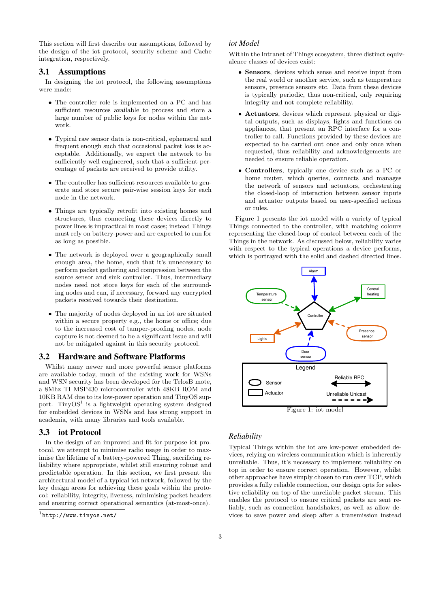This section will first describe our assumptions, followed by the design of the iot protocol, security scheme and Cache integration, respectively.

## 3.1 Assumptions

In designing the iot protocol, the following assumptions were made:

- The controller role is implemented on a PC and has sufficient resources available to process and store a large number of public keys for nodes within the network.
- Typical raw sensor data is non-critical, ephemeral and frequent enough such that occasional packet loss is acceptable. Additionally, we expect the network to be sufficiently well engineered, such that a sufficient percentage of packets are received to provide utility.
- The controller has sufficient resources available to generate and store secure pair-wise session keys for each node in the network.
- Things are typically retrofit into existing homes and structures, thus connecting these devices directly to power lines is impractical in most cases; instead Things must rely on battery-power and are expected to run for as long as possible.
- The network is deployed over a geographically small enough area, the home, such that it's unnecessary to perform packet gathering and compression between the source sensor and sink controller. Thus, intermediary nodes need not store keys for each of the surrounding nodes and can, if necessary, forward any encrypted packets received towards their destination.
- The majority of nodes deployed in an iot are situated within a secure property e.g., the home or office; due to the increased cost of tamper-proofing nodes, node capture is not deemed to be a significant issue and will not be mitigated against in this security protocol.

#### 3.2 Hardware and Software Platforms

Whilst many newer and more powerful sensor platforms are available today, much of the existing work for WSNs and WSN security has been developed for the TelosB mote, a 8Mhz TI MSP430 microcontroller with 48KB ROM and 10KB RAM due to its low-power operation and TinyOS support. TinyOS<sup>1</sup> is a lightweight operating system designed for embedded devices in WSNs and has strong support in academia, with many libraries and tools available.

#### 3.3 iot Protocol

In the design of an improved and fit-for-purpose iot protocol, we attempt to minimise radio usage in order to maximise the lifetime of a battery-powered Thing, sacrificing reliability where appropriate, whilst still ensuring robust and predictable operation. In this section, we first present the architectural model of a typical iot network, followed by the key design areas for achieving these goals within the protocol: reliability, integrity, liveness, minimising packet headers and ensuring correct operational semantics (at-most-once).

## *iot Model*

Within the Intranet of Things ecosystem, three distinct equivalence classes of devices exist:

- Sensors, devices which sense and receive input from the real world or another service, such as temperature sensors, presence sensors etc. Data from these devices is typically periodic, thus non-critical, only requiring integrity and not complete reliability.
- Actuators, devices which represent physical or digital outputs, such as displays, lights and functions on appliances, that present an RPC interface for a controller to call. Functions provided by these devices are expected to be carried out once and only once when requested, thus reliability and acknowledgements are needed to ensure reliable operation.
- Controllers, typically one device such as a PC or home router, which queries, connects and manages the network of sensors and actuators, orchestrating the closed-loop of interaction between sensor inputs and actuator outputs based on user-specified actions or rules.

Figure 1 presents the iot model with a variety of typical Things connected to the controller, with matching colours representing the closed-loop of control between each of the Things in the network. As discussed below, reliability varies with respect to the typical operations a device performs, which is portrayed with the solid and dashed directed lines.



#### *Reliability*

Typical Things within the iot are low-power embedded devices, relying on wireless communication which is inherently unreliable. Thus, it's necessary to implement reliability on top in order to ensure correct operation. However, whilst other approaches have simply chosen to run over TCP, which provides a fully reliable connection, our design opts for selective reliability on top of the unreliable packet stream. This enables the protocol to ensure critical packets are sent reliably, such as connection handshakes, as well as allow devices to save power and sleep after a transmission instead

<sup>1</sup> <http://www.tinyos.net/>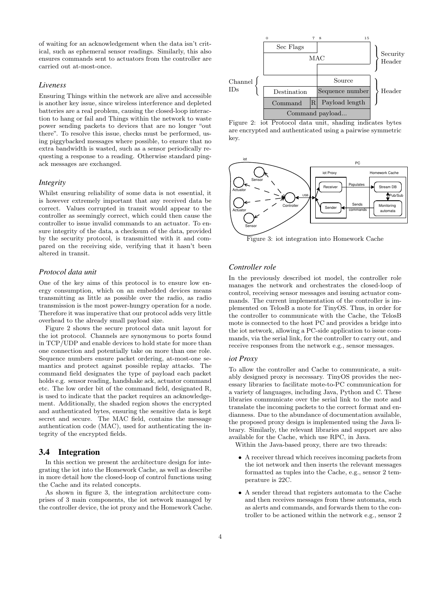of waiting for an acknowledgement when the data isn't critical, such as ephemeral sensor readings. Similarly, this also ensures commands sent to actuators from the controller are carried out at-most-once.

#### *Liveness*

Ensuring Things within the network are alive and accessible is another key issue, since wireless interference and depleted batteries are a real problem, causing the closed-loop interaction to hang or fail and Things within the network to waste power sending packets to devices that are no longer "out there". To resolve this issue, checks must be performed, using piggybacked messages where possible, to ensure that no extra bandwidth is wasted, such as a sensor periodically requesting a response to a reading. Otherwise standard pingack messages are exchanged.

#### *Integrity*

Whilst ensuring reliability of some data is not essential, it is however extremely important that any received data be correct. Values corrupted in transit would appear to the controller as seemingly correct, which could then cause the controller to issue invalid commands to an actuator. To ensure integrity of the data, a checksum of the data, provided by the security protocol, is transmitted with it and compared on the receiving side, verifying that it hasn't been altered in transit.

## *Protocol data unit*

One of the key aims of this protocol is to ensure low energy consumption, which on an embedded devices means transmitting as little as possible over the radio, as radio transmission is the most power-hungry operation for a node. Therefore it was imperative that our protocol adds very little overhead to the already small payload size.

Figure 2 shows the secure protocol data unit layout for the iot protocol. Channels are synonymous to ports found in TCP/UDP and enable devices to hold state for more than one connection and potentially take on more than one role. Sequence numbers ensure packet ordering, at-most-one semantics and protect against possible replay attacks. The command field designates the type of payload each packet holds e.g. sensor reading, handshake ack, actuator command etc. The low order bit of the command field, designated R, is used to indicate that the packet requires an acknowledgement. Additionally, the shaded region shows the encrypted and authenticated bytes, ensuring the sensitive data is kept secret and secure. The MAC field, contains the message authentication code (MAC), used for authenticating the integrity of the encrypted fields.

## 3.4 Integration

In this section we present the architecture design for integrating the iot into the Homework Cache, as well as describe in more detail how the closed-loop of control functions using the Cache and its related concepts.

As shown in figure 3, the integration architecture comprises of 3 main components, the iot network managed by the controller device, the iot proxy and the Homework Cache.



Figure 2: iot Protocol data unit, shading indicates bytes are encrypted and authenticated using a pairwise symmetric key.



Figure 3: iot integration into Homework Cache

## *Controller role*

In the previously described iot model, the controller role manages the network and orchestrates the closed-loop of control, receiving sensor messages and issuing actuator commands. The current implementation of the controller is implemented on TelosB a mote for TinyOS. Thus, in order for the controller to communicate with the Cache, the TelosB mote is connected to the host PC and provides a bridge into the iot network, allowing a PC-side application to issue commands, via the serial link, for the controller to carry out, and receive responses from the network e.g., sensor messages.

#### *iot Proxy*

To allow the controller and Cache to communicate, a suitably designed proxy is necessary. TinyOS provides the necessary libraries to facilitate mote-to-PC communication for a variety of languages, including Java, Python and C. These libraries communicate over the serial link to the mote and translate the incoming packets to the correct format and endianness. Due to the abundance of documentation available, the proposed proxy design is implemented using the Java library. Similarly, the relevant libraries and support are also available for the Cache, which use RPC, in Java.

Within the Java-based proxy, there are two threads:

- A receiver thread which receives incoming packets from the iot network and then inserts the relevant messages formatted as tuples into the Cache, e.g., sensor 2 temperature is 22C.
- A sender thread that registers automata to the Cache and then receives messages from these automata, such as alerts and commands, and forwards them to the controller to be actioned within the network e.g., sensor 2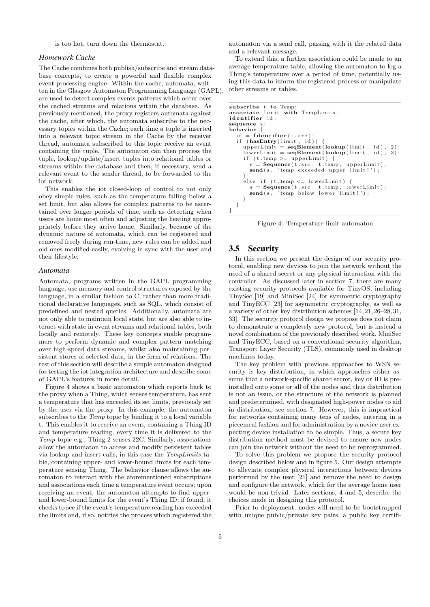is too hot, turn down the thermostat.

#### *Homework Cache*

The Cache combines both publish/subscribe and stream database concepts, to create a powerful and flexible complex event processing engine. Within the cache, automata, written in the Glasgow Automaton Programming Language (GAPL), are used to detect complex events patterns which occur over the cached streams and relations within the database. As previously mentioned, the proxy registers automata against the cache, after which, the automata subscribe to the necessary topics within the Cache; each time a tuple is inserted into a relevant topic stream in the Cache by the receiver thread, automata subscribed to this topic receive an event containing the tuple. The automaton can then process the tuple, lookup/update/insert tuples into relational tables or streams within the database and then, if necessary, send a relevant event to the sender thread, to be forwarded to the iot network.

This enables the iot closed-loop of control to not only obey simple rules, such as the temperature falling below a set limit, but also allows for complex patterns to be ascertained over longer periods of time, such as detecting when users are home most often and adjusting the heating appropriately before they arrive home. Similarly, because of the dynamic nature of automata, which can be registered and removed freely during run-time, new rules can be added and old ones modified easily, evolving in-sync with the user and their lifestyle.

#### *Automata*

Automata, programs written in the GAPL programming language, use memory and control structures exposed by the language, in a similar fashion to C, rather than more traditional declarative languages, such as SQL, which consist of predefined and nested queries. Additionally, automata are not only able to maintain local state, but are also able to interact with state in event streams and relational tables, both locally and remotely. These key concepts enable programmers to perform dynamic and complex pattern matching over high-speed data streams, whilst also maintaining persistent stores of selected data, in the form of relations. The rest of this section will describe a simple automaton designed for testing the iot integration architecture and describe some of GAPL's features in more detail.

Figure 4 shows a basic automaton which reports back to the proxy when a Thing, which senses temperature, has sent a temperature that has exceeded its set limits, previously set by the user via the proxy. In this example, the automaton subscribes to the *Temp* topic by binding it to a local variable t. This enables it to receive an event, containing a Thing ID and temperature reading, every time it is delivered to the Temp topic e.g., Thing 2 senses 22C. Similarly, associations allow the automaton to access and modify persistent tables via lookup and insert calls, in this case the TempLimits table, containing upper- and lower-bound limits for each temperature sensing Thing. The behavior clause allows the automaton to interact with the aforementioned subscriptions and associations each time a temperature event occurs; upon receiving an event, the automaton attempts to find upperand lower-bound limits for the event's Thing ID; if found, it checks to see if the event's temperature reading has exceeded the limits and, if so, notifies the process which registered the

automaton via a send call, passing with it the related data and a relevant message.

To extend this, a further association could be made to an average temperature table, allowing the automaton to log a Thing's temperature over a period of time, potentially using this data to inform the registered process or manipulate other streams or tables.

```
subscribe t to Temp;
associate limit with TempLimits;
identifier id;
sequence s ;
behavior {
    id = \textbf{Identity}(\text{t}.\text{src});<br>if (\textbf{hasEntry}(\text{limit}, \text{ id}))upperLimit = seqElement (lookup (limit , id), 2);lowerLimit = seqElement (lookup (limit , id), 3);if (t . temp >= upper Limit)s = \text{Sequence}(\text{t.src}, \text{ t.temp}, \text{ upperLimit});\mathbf{send}(s, \text{ 'temp } exceeded \text{ upper } limit!');}
       else if (t.\text{temp} \leq \text{lowerLimit}) {<br>s = Sequence (t.src, t.\text{temp}, \text{lowerLimit}) :
           s = \text{Sequence}(\text{t}.\text{src}, \text{ t}.\text{temp}, \text{ lowerLimit});<br>
\text{send}(s, \text{'temp below lower limit!'});}
  }
}
```
Figure 4: Temperature limit automaton

## 3.5 Security

In this section we present the design of our security protocol, enabling new devices to join the network without the need of a shared secret or any physical interaction with the controller. As discussed later in section 7, there are many existing security protocols available for TinyOS, including TinySec [19] and MiniSec [24] for symmetric cryptography and TinyECC [23] for asymmetric cryptography, as well as a variety of other key distribution schemes [14,21,26–28,31, 33]. The security protocol design we propose does not claim to demonstrate a completely new protocol, but is instead a novel combination of the previously described work, MiniSec and TinyECC, based on a conventional security algorithm, Transport Layer Security (TLS), commonly used in desktop machines today.

The key problem with previous approaches to WSN security is key distribution, in which approaches either assume that a network-specific shared secret, key or ID is preinstalled onto some or all of the nodes and thus distribution is not an issue, or the structure of the network is planned and predetermined, with designated high-power nodes to aid in distribution, see section 7. However, this is impractical for networks containing many tens of nodes, entering in a piecemeal fashion and for administration by a novice user expecting device installation to be simple. Thus, a secure key distribution method must be devised to ensure new nodes can join the network without the need to be reprogrammed.

To solve this problem we propose the security protocol design described below and in figure 5. Our design attempts to alleviate complex physical interactions between devices performed by the user [21] and remove the need to design and configure the network, which for the average home user would be non-trivial. Later sections, 4 and 5, describe the choices made in designing this protocol.

Prior to deployment, nodes will need to be bootstrapped with unique public/private key pairs, a public key certifi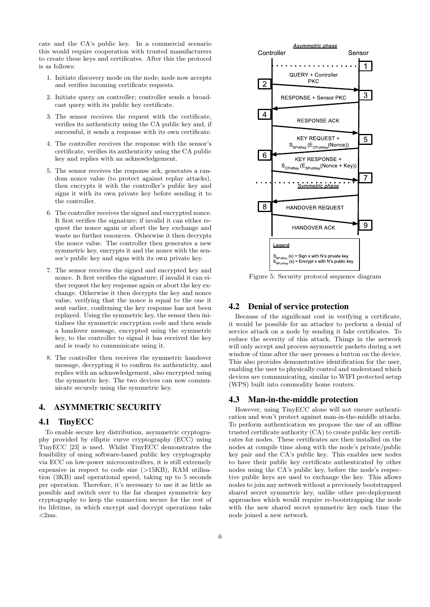cate and the CA's public key. In a commercial scenario this would require cooperation with trusted manufacturers to create these keys and certificates. After this the protocol is as follows:

- 1. Initiate discovery mode on the node; node now accepts and verifies incoming certificate requests.
- 2. Initiate query on controller; controller sends a broadcast query with its public key certificate.
- 3. The sensor receives the request with the certificate, verifies its authenticity using the CA public key and, if successful, it sends a response with its own certificate.
- 4. The controller receives the response with the sensor's certificate, verifies its authenticity using the CA public key and replies with an acknowledgement.
- 5. The sensor receives the response ack, generates a random nonce value (to protect against replay attacks), then encrypts it with the controller's public key and signs it with its own private key before sending it to the controller.
- 6. The controller receives the signed and encrypted nonce. It first verifies the signature; if invalid it can either request the nonce again or abort the key exchange and waste no further resources. Otherwise it then decrypts the nonce value. The controller then generates a new symmetric key, encrypts it and the nonce with the sensor's public key and signs with its own private key.
- 7. The sensor receives the signed and encrypted key and nonce. It first verifies the signature; if invalid it can either request the key response again or abort the key exchange. Otherwise it then decrypts the key and nonce value, verifying that the nonce is equal to the one it sent earlier, confirming the key response has not been replayed. Using the symmetric key, the sensor then initialises the symmetric encryption code and then sends a handover message, encrypted using the symmetric key, to the controller to signal it has received the key and is ready to communicate using it.
- 8. The controller then receives the symmetric handover message, decrypting it to confirm its authenticity, and replies with an acknowledgement, also encrypted using the symmetric key. The two devices can now communicate securely using the symmetric key.

## 4. ASYMMETRIC SECURITY

## 4.1 TinyECC

To enable secure key distribution, asymmetric cryptography provided by elliptic curve cryptography (ECC) using TinyECC [23] is used. Whilst TinyECC demonstrates the feasibility of using software-based public key cryptography via ECC on low-power microcontrollers, it is still extremely expensive in respect to code size (>15KB), RAM utilisation (3KB) and operational speed, taking up to 5 seconds per operation. Therefore, it's necessary to use it as little as possible and switch over to the far cheaper symmetric key cryptography to keep the connection secure for the rest of its lifetime, in which encrypt and decrypt operations take  $<$ 2ms.



Figure 5: Security protocol sequence diagram

## 4.2 Denial of service protection

Because of the significant cost in verifying a certificate, it would be possible for an attacker to perform a denial of service attack on a node by sending it fake certificates. To reduce the severity of this attack, Things in the network will only accept and process asymmetric packets during a set window of time after the user presses a button on the device. This also provides demonstrative identification for the user, enabling the user to physically control and understand which devices are communicating, similar to WIFI protected setup (WPS) built into commodity home routers.

## 4.3 Man-in-the-middle protection

However, using TinyECC alone will not ensure authentication and won't protect against man-in-the-middle attacks. To perform authentication we propose the use of an offline trusted certificate authority (CA) to create public key certificates for nodes. These certificates are then installed on the nodes at compile time along with the node's private/public key pair and the CA's public key. This enables new nodes to have their public key certificate authenticated by other nodes using the CA's public key, before the node's respective public keys are used to exchange the key. This allows nodes to join any network without a previously bootstrapped shared secret symmetric key, unlike other pre-deployment approaches which would require re-bootstrapping the node with the new shared secret symmetric key each time the node joined a new network.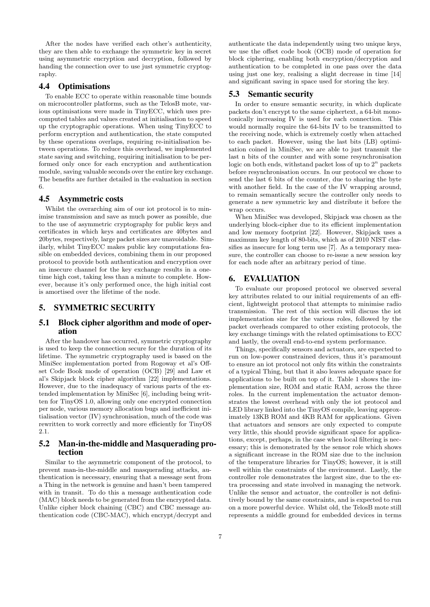After the nodes have verified each other's authenticity, they are then able to exchange the symmetric key in secret using asymmetric encryption and decryption, followed by handing the connection over to use just symmetric cryptography.

#### 4.4 Optimisations

To enable ECC to operate within reasonable time bounds on microcontroller platforms, such as the TelosB mote, various optimisations were made in TinyECC, which uses precomputed tables and values created at initialisation to speed up the cryptographic operations. When using TinyECC to perform encryption and authentication, the state computed by these operations overlaps, requiring re-initialisation between operations. To reduce this overhead, we implemented state saving and switching, requiring initialisation to be performed only once for each encryption and authentication module, saving valuable seconds over the entire key exchange. The benefits are further detailed in the evaluation in section 6.

## 4.5 Asymmetric costs

Whilst the overarching aim of our iot protocol is to minimise transmission and save as much power as possible, due to the use of asymmetric cryptography for public keys and certificates in which keys and certificates are 40bytes and 20bytes, respectively, large packet sizes are unavoidable. Similarly, whilst TinyECC makes public key computations feasible on embedded devices, combining them in our proposed protocol to provide both authentication and encryption over an insecure channel for the key exchange results in a onetime high cost, taking less than a minute to complete. However, because it's only performed once, the high initial cost is amortised over the lifetime of the node.

#### 5. SYMMETRIC SECURITY

## 5.1 Block cipher algorithm and mode of operation

After the handover has occurred, symmetric cryptography is used to keep the connection secure for the duration of its lifetime. The symmetric cryptography used is based on the MiniSec implementation ported from Rogoway et al's Offset Code Book mode of operation (OCB) [29] and Law et al's Skipjack block cipher algorithm [22] implementations. However, due to the inadequacy of various parts of the extended implementation by MiniSec [6], including being written for TinyOS 1.0, allowing only one encrypted connection per node, various memory allocation bugs and inefficient initialisation vector (IV) synchronisation, much of the code was rewritten to work correctly and more efficiently for TinyOS 2.1.

## 5.2 Man-in-the-middle and Masquerading protection

Similar to the asymmetric component of the protocol, to prevent man-in-the-middle and masquerading attacks, authentication is necessary, ensuring that a message sent from a Thing in the network is genuine and hasn't been tampered with in transit. To do this a message authentication code (MAC) block needs to be generated from the encrypted data. Unlike cipher block chaining (CBC) and CBC message authentication code (CBC-MAC), which encrypt/decrypt and

authenticate the data independently using two unique keys, we use the offset code book (OCB) mode of operation for block ciphering, enabling both encryption/decryption and authentication to be completed in one pass over the data using just one key, realising a slight decrease in time [14] and significant saving in space used for storing the key.

## 5.3 Semantic security

In order to ensure semantic security, in which duplicate packets don't encrypt to the same ciphertext, a 64-bit monotonically increasing IV is used for each connection. This would normally require the 64-bits IV to be transmitted to the receiving node, which is extremely costly when attached to each packet. However, using the last bits (LB) optimisation coined in MiniSec, we are able to just transmit the last n bits of the counter and with some resynchronisation logic on both ends, withstand packet loss of up to  $2^n$  packets before resynchronisation occurs. In our protocol we chose to send the last 6 bits of the counter, due to sharing the byte with another field. In the case of the IV wrapping around, to remain semantically secure the controller only needs to generate a new symmetric key and distribute it before the wrap occurs.

When MiniSec was developed, Skipjack was chosen as the underlying block-cipher due to its efficient implementation and low memory footprint [22]. However, Skipjack uses a maximum key length of 80-bits, which as of 2010 NIST classifies as insecure for long term use [7]. As a temporary measure, the controller can choose to re-issue a new session key for each node after an arbitrary period of time.

## 6. EVALUATION

To evaluate our proposed protocol we observed several key attributes related to our initial requirements of an efficient, lightweight protocol that attempts to minimise radio transmission. The rest of this section will discuss the iot implementation size for the various roles, followed by the packet overheads compared to other existing protocols, the key exchange timings with the related optimisations to ECC and lastly, the overall end-to-end system performance.

Things, specifically sensors and actuators, are expected to run on low-power constrained devices, thus it's paramount to ensure an iot protocol not only fits within the constraints of a typical Thing, but that it also leaves adequate space for applications to be built on top of it. Table 1 shows the implementation size, ROM and static RAM, across the three roles. In the current implementation the actuator demonstrates the lowest overhead with only the iot protocol and LED library linked into the TinyOS compile, leaving approximately 13KB ROM and 4KB RAM for applications. Given that actuators and sensors are only expected to compute very little, this should provide significant space for applications, except, perhaps, in the case when local filtering is necessary; this is demonstrated by the sensor role which shows a significant increase in the ROM size due to the inclusion of the temperature libraries for TinyOS; however, it is still well within the constraints of the environment. Lastly, the controller role demonstrates the largest size, due to the extra processing and state involved in managing the network. Unlike the sensor and actuator, the controller is not definitively bound by the same constraints, and is expected to run on a more powerful device. Whilst old, the TelosB mote still represents a middle ground for embedded devices in terms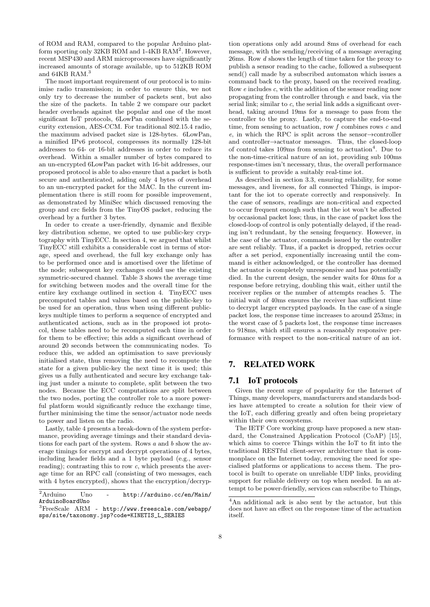of ROM and RAM, compared to the popular Arduino platform sporting only 32KB ROM and 1-4KB RAM<sup>2</sup>. However, recent MSP430 and ARM microprocessors have significantly increased amounts of storage available, up to 512KB ROM and 64KB RAM.<sup>3</sup>

The most important requirement of our protocol is to minimise radio transmission; in order to ensure this, we not only try to decrease the number of packets sent, but also the size of the packets. In table 2 we compare our packet header overheads against the popular and one of the most significant IoT protocols, 6LowPan combined with the security extension, AES-CCM. For traditional 802.15.4 radio, the maximum advised packet size is 128-bytes. 6LowPan, a minified IPv6 protocol, compresses its normally 128-bit addresses to 64- or 16-bit addresses in order to reduce its overhead. Within a smaller number of bytes compared to an un-encrypted 6LowPan packet with 16-bit addresses, our proposed protocol is able to also ensure that a packet is both secure and authenticated, adding only 4 bytes of overhead to an un-encrypted packet for the MAC. In the current implementation there is still room for possible improvement, as demonstrated by MiniSec which discussed removing the group and crc fields from the TinyOS packet, reducing the overhead by a further 3 bytes.

In order to create a user-friendly, dynamic and flexible key distribution scheme, we opted to use public-key cryptography with TinyECC. In section 4, we argued that whilst TinyECC still exhibits a considerable cost in terms of storage, speed and overhead, the full key exchange only has to be performed once and is amortised over the lifetime of the node; subsequent key exchanges could use the existing symmetric-secured channel. Table 3 shows the average time for switching between modes and the overall time for the entire key exchange outlined in section 4. TinyECC uses precomputed tables and values based on the public-key to be used for an operation, thus when using different publickeys multiple times to perform a sequence of encrypted and authenticated actions, such as in the proposed iot protocol, these tables need to be recomputed each time in order for them to be effective; this adds a significant overhead of around 20 seconds between the communicating nodes. To reduce this, we added an optimisation to save previously initialised state, thus removing the need to recompute the state for a given public-key the next time it is used; this gives us a fully authenticated and secure key exchange taking just under a minute to complete, split between the two nodes. Because the ECC computations are split between the two nodes, porting the controller role to a more powerful platform would significantly reduce the exchange time, further minimising the time the sensor/actuator node needs to power and listen on the radio.

Lastly, table 4 presents a break-down of the system performance, providing average timings and their standard deviations for each part of the system. Rows  $a$  and  $b$  show the average timings for encrypt and decrypt operations of 4 bytes, including header fields and a 1 byte payload (e.g., sensor reading); contrasting this to row  $c$ , which presents the average time for an RPC call (consisting of two messages, each with 4 bytes encrypted), shows that the encryption/decryp-

tion operations only add around 8ms of overhead for each message, with the sending/receiving of a message averaging 26ms. Row d shows the length of time taken for the proxy to publish a sensor reading to the cache, followed a subsequent send() call made by a subscribed automaton which issues a command back to the proxy, based on the received reading. Row e includes c, with the addition of the sensor reading now propagating from the controller through e and back, via the serial link; similar to c, the serial link adds a significant overhead, taking around 19ms for a message to pass from the controller to the proxy. Lastly, to capture the end-to-end time, from sensing to actuation, row  $f$  combines rows  $c$  and e, in which the RPC is split across the sensor $\rightarrow$ controller and controller→actuator messages. Thus, the closed-loop of control takes 109ms from sensing to actuation<sup>4</sup>. Due to the non-time-critical nature of an iot, providing sub 100ms response-times isn't necessary, thus, the overall performance is sufficient to provide a suitably real-time iot.

As described in section 3.3, ensuring reliability, for some messages, and liveness, for all connected Things, is important for the iot to operate correctly and responsively. In the case of sensors, readings are non-critical and expected to occur frequent enough such that the iot won't be affected by occasional packet loss; thus, in the case of packet loss the closed-loop of control is only potentially delayed, if the reading isn't redundant, by the sensing frequency. However, in the case of the actuator, commands issued by the controller are sent reliably. Thus, if a packet is dropped, retries occur after a set period, exponentially increasing until the command is either acknowledged, or the controller has deemed the actuator is completely unresponsive and has potentially died. In the current design, the sender waits for 40ms for a response before retrying, doubling this wait, either until the receiver replies or the number of attempts reaches 5. The initial wait of 40ms ensures the receiver has sufficient time to decrypt larger encrypted payloads. In the case of a single packet loss, the response time increases to around 253ms; in the worst case of 5 packets lost, the response time increases to 918ms, which still ensures a reasonably responsive performance with respect to the non-critical nature of an iot.

## 7. RELATED WORK

## 7.1 IoT protocols

Given the recent surge of popularity for the Internet of Things, many developers, manufacturers and standards bodies have attempted to create a solution for their view of the IoT, each differing greatly and often being proprietary within their own ecosystems.

The IETF Core working group have proposed a new standard, the Constrained Application Protocol (CoAP) [15], which aims to coerce Things within the IoT to fit into the traditional RESTful client-server architecture that is commonplace on the Internet today, removing the need for specialised platforms or applications to access them. The protocol is built to operate on unreliable UDP links, providing support for reliable delivery on top when needed. In an attempt to be power-friendly, services can subscribe to Things,

 $2$ Arduino Uno - [http://arduino.cc/en/Main/](http://arduino.cc/en/Main/ArduinoBoardUno) [ArduinoBoardUno](http://arduino.cc/en/Main/ArduinoBoardUno)

<sup>3</sup>FreeScale ARM - [http://www.freescale.com/webapp/](http://www.freescale.com/webapp/sps/site/taxonomy.jsp?code=KINETIS_L_SERIES) [sps/site/taxonomy.jsp?code=KINETIS\\_L\\_SERIES](http://www.freescale.com/webapp/sps/site/taxonomy.jsp?code=KINETIS_L_SERIES)

<sup>4</sup>An additional ack is also sent by the actuator, but this does not have an effect on the response time of the actuation itself.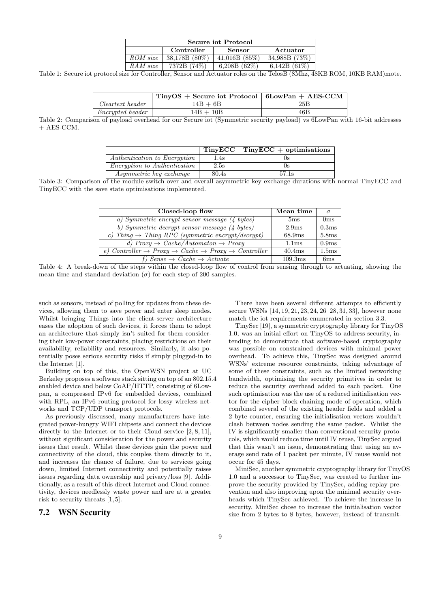| Secure iot Protocol |                 |                 |                 |
|---------------------|-----------------|-----------------|-----------------|
|                     | Controller      | <b>Sensor</b>   | Actuator        |
| ROM size            | $38.178B(80\%)$ | 41.016B(85%)    | 34.988B (73%)   |
| RAM size            | 7372B (74%)     | 6,208B $(62\%)$ | 6.142B $(61\%)$ |

Table 1: Secure iot protocol size for Controller, Sensor and Actuator roles on the TelosB (8Mhz, 48KB ROM, 10KB RAM)mote.

|                         | $T_{\text{inv}}OS +$ Secure iot Protocol   6LowPan + AES-CCM |     |
|-------------------------|--------------------------------------------------------------|-----|
| Cleartext header        | $14B + 6B$                                                   | 25B |
| <i>Encrypted header</i> | $14B + 10B$                                                  | 46B |

Table 2: Comparison of payload overhead for our Secure iot (Symmetric security payload) vs 6LowPan with 16-bit addresses + AES-CCM.

|                                     | TinyECC | $TinyECC + optimisations$ |
|-------------------------------------|---------|---------------------------|
| Authentication to Encryption        | 1.4s    |                           |
| <i>Encryption to Authentication</i> | 2.5s    |                           |
| Asymmetric key exchange             | 80.4s   | 57.1s                     |
| $\alpha$ $\alpha$                   |         |                           |

Table 3: Comparison of the module switch over and overall asymmetric key exchange durations with normal TinyECC and TinyECC with the save state optimisations implemented.

| Closed-loop flow                                                                                   | Mean time          | $\sigma$          |
|----------------------------------------------------------------------------------------------------|--------------------|-------------------|
| a) Symmetric encrypt sensor message (4 bytes)                                                      | 5 <sub>ms</sub>    | 0 <sub>ms</sub>   |
| b) Symmetric decrypt sensor message (4 bytes)                                                      | 2.9 <sub>ms</sub>  | 0.3 <sub>ms</sub> |
| c) Thing $\rightarrow$ Thing RPC (symmetric encrypt/decrypt)                                       | 68.9 <sub>ms</sub> | 5.8ms             |
| d) $Proxy \rightarrow Cache/Automaton \rightarrow Proxy$                                           | 1.1 <sub>ms</sub>  | 0.9ms             |
| e) Controller $\rightarrow$ Proxy $\rightarrow$ Cache $\rightarrow$ Proxy $\rightarrow$ Controller | 40.4 <sub>ms</sub> | 1.5 <sub>ms</sub> |
| f) Sense $\rightarrow$ Cache $\rightarrow$ Actuate                                                 | 109.3ms            | 6ms               |

Table 4: A break-down of the steps within the closed-loop flow of control from sensing through to actuating, showing the mean time and standard deviation  $(\sigma)$  for each step of 200 samples.

such as sensors, instead of polling for updates from these devices, allowing them to save power and enter sleep modes. Whilst bringing Things into the client-server architecture eases the adoption of such devices, it forces them to adopt an architecture that simply isn't suited for them considering their low-power constraints, placing restrictions on their availability, reliability and resources. Similarly, it also potentially poses serious security risks if simply plugged-in to the Internet [1].

Building on top of this, the OpenWSN project at UC Berkeley proposes a software stack sitting on top of an 802.15.4 enabled device and below CoAP/HTTP, consisting of 6Lowpan, a compressed IPv6 for embedded devices, combined with RPL, an IPv6 routing protocol for lossy wireless networks and TCP/UDP transport protocols.

As previously discussed, many manufacturers have integrated power-hungry WIFI chipsets and connect the devices directly to the Internet or to their Cloud service  $[2, 8, 11]$ , without significant consideration for the power and security issues that result. Whilst these devices gain the power and connectivity of the cloud, this couples them directly to it, and increases the chance of failure, due to services going down, limited Internet connectivity and potentially raises issues regarding data ownership and privacy/loss [9]. Additionally, as a result of this direct Internet and Cloud connectivity, devices needlessly waste power and are at a greater risk to security threats [1, 5].

## 7.2 WSN Security

There have been several different attempts to efficiently secure WSNs [14, 19, 21, 23, 24, 26–28, 31, 33], however none match the iot requirements enumerated in section 3.3.

TinySec [19], a symmetric cryptography library for TinyOS 1.0, was an initial effort on TinyOS to address security, intending to demonstrate that software-based cryptography was possible on constrained devices with minimal power overhead. To achieve this, TinySec was designed around WSNs' extreme resource constraints, taking advantage of some of these constraints, such as the limited networking bandwidth, optimising the security primitives in order to reduce the security overhead added to each packet. One such optimisation was the use of a reduced initialisation vector for the cipher block chaining mode of operation, which combined several of the existing header fields and added a 2 byte counter, ensuring the initialisation vectors wouldn't clash between nodes sending the same packet. Whilst the IV is significantly smaller than conventional security protocols, which would reduce time until IV reuse, TinySec argued that this wasn't an issue, demonstrating that using an average send rate of 1 packet per minute, IV reuse would not occur for 45 days.

MiniSec, another symmetric cryptography library for TinyOS 1.0 and a successor to TinySec, was created to further improve the security provided by TinySec, adding replay prevention and also improving upon the minimal security overheads which TinySec achieved. To achieve the increase in security, MiniSec chose to increase the initialisation vector size from 2 bytes to 8 bytes, however, instead of transmit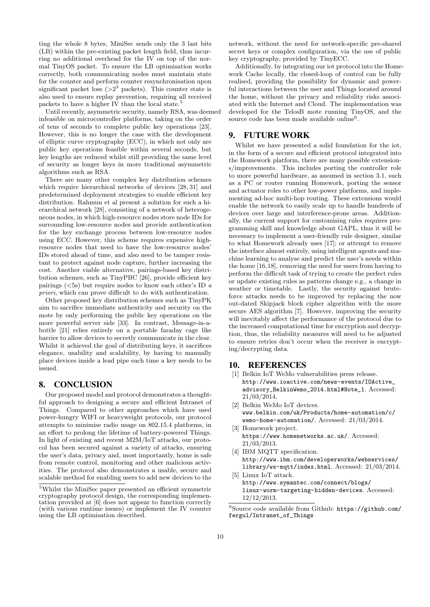ting the whole 8 bytes, MiniSec sends only the 3 last bits (LB) within the pre-existing packet length field, thus incurring no additional overhead for the IV on top of the normal TinyOS packet. To ensure the LB optimisation works correctly, both communicating nodes must maintain state for the counter and perform counter resynchronisation upon significant packet loss  $(>2^3$  packets). This counter state is also used to ensure replay prevention, requiring all received packets to have a higher IV than the local state.<sup>5</sup>

Until recently, asymmetric security, namely RSA, was deemed infeasible on microcontroller platforms, taking on the order of tens of seconds to complete public key operations [23]. However, this is no longer the case with the development of elliptic curve cryptography (ECC), in which not only are public key operations feasible within several seconds, but key lengths are reduced whilst still providing the same level of security as longer keys in more traditional asymmetric algorithms such as RSA.

There are many other complex key distribution schemes which require hierarchical networks of devices [28, 31] and predetermined deployment strategies to enable efficient key distribution. Rahmun et al present a solution for such a hierarchical network [28], consisting of a network of heterogeneous nodes, in which high-resource nodes store node IDs for surrounding low-resource nodes and provide authentication for the key exchange process between low-resource nodes using ECC. However, this scheme requires expensive highresource nodes that need to have the low-resource nodes' IDs stored ahead of time, and also need to be tamper resistant to protect against node capture, further increasing the cost. Another viable alternative, pairings-based key distribution schemes, such as TinyPBC [26], provide efficient key pairings  $(<5s)$  but require nodes to know each other's ID  $a$ priori, which can prove difficult to do with authentication.

Other proposed key distribution schemes such as TinyPK aim to sacrifice immediate authenticity and security on the mote by only performing the public key operations on the more powerful server side [33]. In contrast, Message-in-abottle [21] relies entirely on a portable faraday cage like barrier to allow devices to secretly communicate in the clear. Whilst it achieved the goal of distributing keys, it sacrifices elegance, usability and scalability, by having to manually place devices inside a lead pipe each time a key needs to be issued.

## 8. CONCLUSION

Our proposed model and protocol demonstrates a thoughtful approach to designing a secure and efficient Intranet of Things. Compared to other approaches which have used power-hungry WIFI or heavyweight protocols, our protocol attempts to minimise radio usage on 802.15.4 platforms, in an effort to prolong the lifetime of battery-powered Things. In light of existing and recent M2M/IoT attacks, our protocol has been secured against a variety of attacks, ensuring the user's data, privacy and, most importantly, home is safe from remote control, monitoring and other malicious activities. The protocol also demonstrates a usable, secure and scalable method for enabling users to add new devices to the

network, without the need for network-specific pre-shared secret keys or complex configuration, via the use of public key cryptography, provided by TinyECC.

Additionally, by integrating our iot protocol into the Homework Cache locally, the closed-loop of control can be fully realised, providing the possibility for dynamic and powerful interactions between the user and Things located around the home, without the privacy and reliability risks associated with the Internet and Cloud. The implementation was developed for the TelosB mote running TinyOS, and the source code has been made available online<sup>6</sup>.

## 9. FUTURE WORK

Whilst we have presented a solid foundation for the iot, in the form of a secure and efficient protocol integrated into the Homework platform, there are many possible extensions/improvements. This includes porting the controller role to more powerful hardware, as assumed in section 3.1, such as a PC or router running Homework, porting the sensor and actuator roles to other low-power platforms, and implementing ad-hoc multi-hop routing. These extensions would enable the network to easily scale up to handle hundreds of devices over large and interference-prone areas. Additionally, the current support for customising rules requires programming skill and knowledge about GAPL, thus it will be necessary to implement a user-friendly rule designer, similar to what Homework already uses [17]; or attempt to remove the interface almost entirely, using intelligent agents and machine learning to analyse and predict the user's needs within the home [16,18], removing the need for users from having to perform the difficult task of trying to create the perfect rules or update existing rules as patterns change e.g., a change in weather or timetable. Lastly, the security against bruteforce attacks needs to be improved by replacing the now out-dated Skipjack block cipher algorithm with the more secure AES algorithm [7]. However, improving the security will inevitably affect the performance of the protocol due to the increased computational time for encryption and decryption, thus, the reliability measures will need to be adjusted to ensure retries don't occur when the receiver is encrypting/decrypting data.

## 10. REFERENCES

- [1] Belkin IoT WeMo vulnerabilities press release. [http://www.ioactive.com/news-events/IOActive\\_](http://www.ioactive.com/news-events/IOActive_advisory_BelkinWemo_2014.html#Note_1) [advisory\\_BelkinWemo\\_2014.html#Note\\_1](http://www.ioactive.com/news-events/IOActive_advisory_BelkinWemo_2014.html#Note_1). Accessed: 21/03/2014.
- [2] Belkin WeMo IoT devices. [www.belkin.com/uk/Products/home-automation/c/](www.belkin.com/uk/Products/home-automation/c/wemo-home-automation/) [wemo-home-automation/](www.belkin.com/uk/Products/home-automation/c/wemo-home-automation/). Accessed: 21/03/2014.
- [3] Homework project. <https://www.homenetworks.ac.uk/>. Accessed: 21/03/2013.
- [4] IBM MQTT specification. [http://www.ibm.com/developerworks/webservices/](http://www.ibm.com/developerworks/webservices/library/ws-mqtt/index.html) [library/ws-mqtt/index.html](http://www.ibm.com/developerworks/webservices/library/ws-mqtt/index.html). Accessed: 21/03/2014.
- [5] Linux IoT attack. [http://www.symantec.com/connect/blogs/](http://www.symantec.com/connect/blogs/linux-worm-targeting-hidden-devices) [linux-worm-targeting-hidden-devices](http://www.symantec.com/connect/blogs/linux-worm-targeting-hidden-devices). Accessed: 12/12/2013.

 ${}^5\mathrm{Whilst}$  the MiniSec paper presented an efficient symmetric cryptography protocol design, the corresponding implementation provided at [6] does not appear to function correctly (with various runtime issues) or implement the IV counter using the LB optimisation described.

 $^6$ Source code available from Github:  $https://github.com/$ [fergul/Intranet\\_of\\_Things](https://github.com/fergul/Intranet_of_Things)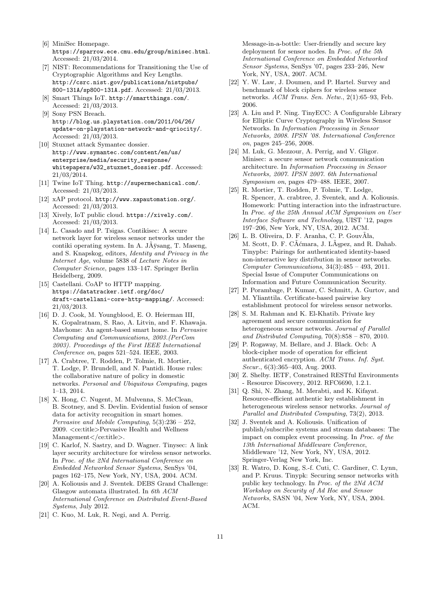- [6] MiniSec Homepage. <https://sparrow.ece.cmu.edu/group/minisec.html>. Accessed: 21/03/2014.
- [7] NIST: Recommendations for Transitioning the Use of Cryptographic Algorithms and Key Lengths. [http://csrc.nist.gov/publications/nistpubs/](http://csrc.nist.gov/publications/nistpubs/800-131A/sp800-131A.pdf ) [800-131A/sp800-131A.pdf](http://csrc.nist.gov/publications/nistpubs/800-131A/sp800-131A.pdf ). Accessed: 21/03/2013.
- [8] Smart Things IoT. <http://smartthings.com/>. Accessed: 21/03/2013.
- [9] Sony PSN Breach. [http://blog.us.playstation.com/2011/04/26/](http://blog.us.playstation.com/2011/04/26/update-on-playstation-network-and-qriocity/) [update-on-playstation-network-and-qriocity/](http://blog.us.playstation.com/2011/04/26/update-on-playstation-network-and-qriocity/). Accessed: 21/03/2013.
- [10] Stuxnet attack Symantec dossier. [http://www.symantec.com/content/en/us/](http://www.symantec.com/content/en/us/enterprise/media/security_response/whitepapers/w32_stuxnet_dossier.pdf) [enterprise/media/security\\_response/](http://www.symantec.com/content/en/us/enterprise/media/security_response/whitepapers/w32_stuxnet_dossier.pdf) [whitepapers/w32\\_stuxnet\\_dossier.pdf](http://www.symantec.com/content/en/us/enterprise/media/security_response/whitepapers/w32_stuxnet_dossier.pdf). Accessed: 21/03/2014.
- [11] Twine IoT Thing. <http://supermechanical.com/>. Accessed: 21/03/2013.
- [12] xAP protocol. <http://www.xapautomation.org/>. Accessed: 21/03/2013.
- [13] Xively, IoT public cloud. <https://xively.com/>. Accessed: 21/03/2013.
- [14] L. Casado and P. Tsigas. Contikisec: A secure network layer for wireless sensor networks under the contiki operating system. In A. J $\overline{A}$ ÿsang, T. Maseng, and S. Knapskog, editors, Identity and Privacy in the Internet Age, volume 5838 of Lecture Notes in Computer Science, pages 133–147. Springer Berlin Heidelberg, 2009.
- [15] Castellani. CoAP to HTTP mapping. [https://datatracker.ietf.org/doc/](https://datatracker.ietf.org/doc/draft-castellani-core-http-mapping/) [draft-castellani-core-http-mapping/](https://datatracker.ietf.org/doc/draft-castellani-core-http-mapping/). Accessed: 21/03/2013.
- [16] D. J. Cook, M. Youngblood, E. O. Heierman III, K. Gopalratnam, S. Rao, A. Litvin, and F. Khawaja. Mavhome: An agent-based smart home. In Pervasive Computing and Communications, 2003.(PerCom 2003). Proceedings of the First IEEE International Conference on, pages 521–524. IEEE, 2003.
- [17] A. Crabtree, T. Rodden, P. Tolmie, R. Mortier, T. Lodge, P. Brundell, and N. Pantidi. House rules: the collaborative nature of policy in domestic networks. Personal and Ubiquitous Computing, pages 1–13, 2014.
- [18] X. Hong, C. Nugent, M. Mulvenna, S. McClean, B. Scotney, and S. Devlin. Evidential fusion of sensor data for activity recognition in smart homes. Pervasive and Mobile Computing, 5(3):236 – 252, 2009. <ce:title>Pervasive Health and Wellness Management</ce:title>.
- [19] C. Karlof, N. Sastry, and D. Wagner. Tinysec: A link layer security architecture for wireless sensor networks. In Proc. of the 2Nd International Conference on Embedded Networked Sensor Systems, SenSys '04, pages 162–175, New York, NY, USA, 2004. ACM.
- [20] A. Koliousis and J. Sventek. DEBS Grand Challenge: Glasgow automata illustrated. In 6th ACM International Conference on Distributed Event-Based Systems, July 2012.
- [21] C. Kuo, M. Luk, R. Negi, and A. Perrig.

Message-in-a-bottle: User-friendly and secure key deployment for sensor nodes. In Proc. of the 5th International Conference on Embedded Networked Sensor Systems, SenSys '07, pages 233–246, New York, NY, USA, 2007. ACM.

- [22] Y. W. Law, J. Doumen, and P. Hartel. Survey and benchmark of block ciphers for wireless sensor networks. ACM Trans. Sen. Netw., 2(1):65–93, Feb. 2006.
- [23] A. Liu and P. Ning. TinyECC: A Configurable Library for Elliptic Curve Cryptography in Wireless Sensor Networks. In Information Processing in Sensor Networks, 2008. IPSN '08. International Conference on, pages 245–256, 2008.
- [24] M. Luk, G. Mezzour, A. Perrig, and V. Gligor. Minisec: a secure sensor network communication architecture. In Information Processing in Sensor Networks, 2007. IPSN 2007. 6th International Symposium on, pages 479–488. IEEE, 2007.
- [25] R. Mortier, T. Rodden, P. Tolmie, T. Lodge, R. Spencer, A. crabtree, J. Sventek, and A. Koliousis. Homework: Putting interaction into the infrastructure. In Proc. of the 25th Annual ACM Symposium on User Interface Software and Technology, UIST '12, pages 197–206, New York, NY, USA, 2012. ACM.
- [26] L. B. Oliveira, D. F. Aranha, C. P. GouvAła, M. Scott, D. F. C $\tilde{A}$ cmara, J. L $\tilde{A}$ spez, and R. Dahab. Tinypbc: Pairings for authenticated identity-based non-interactive key distribution in sensor networks. Computer Communications, 34(3):485 – 493, 2011. Special Issue of Computer Communications on Information and Future Communication Security.
- [27] P. Porambage, P. Kumar, C. Schmitt, A. Gurtov, and M. Ylianttila. Certificate-based pairwise key establishment protocol for wireless sensor networks.
- [28] S. M. Rahman and K. El-Khatib. Private key agreement and secure communication for heterogeneous sensor networks. Journal of Parallel and Distributed Computing,  $70(8):858 - 870$ , 2010.
- [29] P. Rogaway, M. Bellare, and J. Black. Ocb: A block-cipher mode of operation for efficient authenticated encryption. ACM Trans. Inf. Syst. Secur., 6(3):365–403, Aug. 2003.
- [30] Z. Shelby. IETF, Constrained RESTful Environments - Resource Discovery, 2012. RFC6690, 1.2.1.
- [31] Q. Shi, N. Zhang, M. Merabti, and K. Kifayat. Resource-efficient authentic key establishment in heterogeneous wireless sensor networks. Journal of Parallel and Distributed Computing, 73(2), 2013.
- [32] J. Sventek and A. Koliousis. Unification of publish/subscribe systems and stream databases: The impact on complex event processing. In Proc. of the 13th International Middleware Conference, Middleware '12, New York, NY, USA, 2012. Springer-Verlag New York, Inc.
- [33] R. Watro, D. Kong, S.-f. Cuti, C. Gardiner, C. Lynn, and P. Kruus. Tinypk: Securing sensor networks with public key technology. In Proc. of the 2Nd ACM Workshop on Security of Ad Hoc and Sensor Networks, SASN '04, New York, NY, USA, 2004. ACM.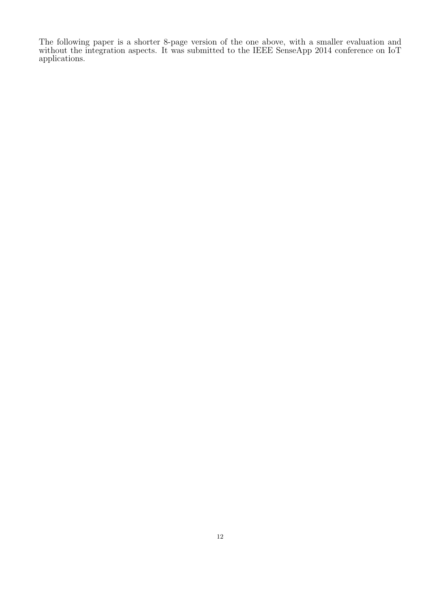The following paper is a shorter 8-page version of the one above, with a smaller evaluation and without the integration aspects. It was submitted to the IEEE SenseApp 2014 conference on IoT applications.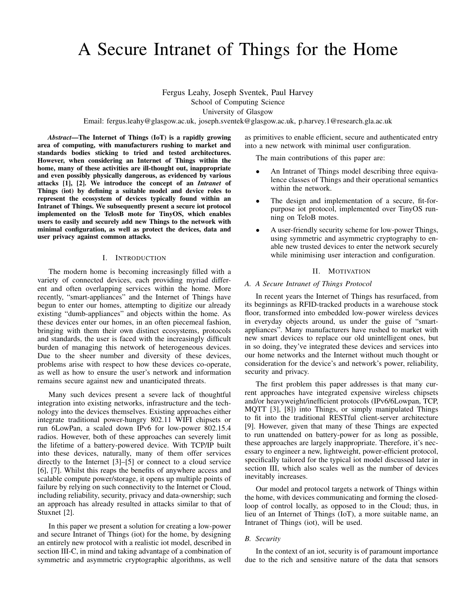# A Secure Intranet of Things for the Home

Fergus Leahy, Joseph Sventek, Paul Harvey School of Computing Science University of Glasgow

Email: fergus.leahy@glasgow.ac.uk, joseph.sventek@glasgow.ac.uk, p.harvey.1@research.gla.ac.uk

*Abstract*—The Internet of Things (IoT) is a rapidly growing area of computing, with manufacturers rushing to market and standards bodies sticking to tried and tested architectures. However, when considering an Internet of Things within the home, many of these activities are ill-thought out, inappropriate and even possibly physically dangerous, as evidenced by various attacks [1], [2]. We introduce the concept of an *Intranet* of Things (iot) by defining a suitable model and device roles to represent the ecosystem of devices typically found within an Intranet of Things. We subsequently present a secure iot protocol implemented on the TelosB mote for TinyOS, which enables users to easily and securely add new Things to the network with minimal configuration, as well as protect the devices, data and user privacy against common attacks.

#### I. INTRODUCTION

The modern home is becoming increasingly filled with a variety of connected devices, each providing myriad different and often overlapping services within the home. More recently, "smart-appliances" and the Internet of Things have begun to enter our homes, attempting to digitize our already existing "dumb-appliances" and objects within the home. As these devices enter our homes, in an often piecemeal fashion, bringing with them their own distinct ecosystems, protocols and standards, the user is faced with the increasingly difficult burden of managing this network of heterogeneous devices. Due to the sheer number and diversity of these devices, problems arise with respect to how these devices co-operate, as well as how to ensure the user's network and information remains secure against new and unanticipated threats.

Many such devices present a severe lack of thoughtful integration into existing networks, infrastructure and the technology into the devices themselves. Existing approaches either integrate traditional power-hungry 802.11 WIFI chipsets or run 6LowPan, a scaled down IPv6 for low-power 802.15.4 radios. However, both of these approaches can severely limit the lifetime of a battery-powered device. With TCP/IP built into these devices, naturally, many of them offer services directly to the Internet [3]–[5] or connect to a cloud service [6], [7]. Whilst this reaps the benefits of anywhere access and scalable compute power/storage, it opens up multiple points of failure by relying on such connectivity to the Internet or Cloud, including reliability, security, privacy and data-ownership; such an approach has already resulted in attacks similar to that of Stuxnet [2].

In this paper we present a solution for creating a low-power and secure Intranet of Things (iot) for the home, by designing an entirely new protocol with a realistic iot model, described in section III-C, in mind and taking advantage of a combination of symmetric and asymmetric cryptographic algorithms, as well as primitives to enable efficient, secure and authenticated entry into a new network with minimal user configuration.

The main contributions of this paper are:

- An Intranet of Things model describing three equivalence classes of Things and their operational semantics within the network.
- The design and implementation of a secure, fit-forpurpose iot protocol, implemented over TinyOS running on TeloB motes.
- A user-friendly security scheme for low-power Things, using symmetric and asymmetric cryptography to enable new trusted devices to enter the network securely while minimising user interaction and configuration.

#### II. MOTIVATION

#### *A. A Secure Intranet of Things Protocol*

In recent years the Internet of Things has resurfaced, from its beginnings as RFID-tracked products in a warehouse stock floor, transformed into embedded low-power wireless devices in everyday objects around, us under the guise of "smartappliances". Many manufacturers have rushed to market with new smart devices to replace our old unintelligent ones, but in so doing, they've integrated these devices and services into our home networks and the Internet without much thought or consideration for the device's and network's power, reliability, security and privacy.

The first problem this paper addresses is that many current approaches have integrated expensive wireless chipsets and/or heavyweight/inefficient protocols (IPv6/6Lowpan, TCP, MQTT [3], [8]) into Things, or simply manipulated Things to fit into the traditional RESTful client-server architecture [9]. However, given that many of these Things are expected to run unattended on battery-power for as long as possible, these approaches are largely inappropriate. Therefore, it's necessary to engineer a new, lightweight, power-efficient protocol, specifically tailored for the typical iot model discussed later in section III, which also scales well as the number of devices inevitably increases.

Our model and protocol targets a network of Things within the home, with devices communicating and forming the closedloop of control locally, as opposed to in the Cloud; thus, in lieu of an Internet of Things (IoT), a more suitable name, an Intranet of Things (iot), will be used.

#### *B. Security*

In the context of an iot, security is of paramount importance due to the rich and sensitive nature of the data that sensors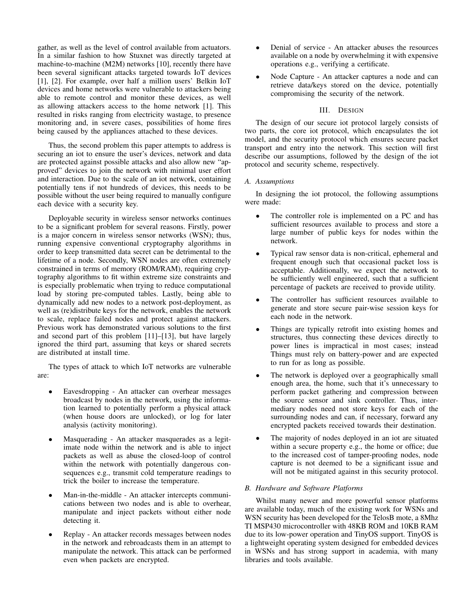gather, as well as the level of control available from actuators. In a similar fashion to how Stuxnet was directly targeted at machine-to-machine (M2M) networks [10], recently there have been several significant attacks targeted towards IoT devices [1], [2]. For example, over half a million users' Belkin IoT devices and home networks were vulnerable to attackers being able to remote control and monitor these devices, as well as allowing attackers access to the home network [1]. This resulted in risks ranging from electricity wastage, to presence monitoring and, in severe cases, possibilities of home fires being caused by the appliances attached to these devices.

Thus, the second problem this paper attempts to address is securing an iot to ensure the user's devices, network and data are protected against possible attacks and also allow new "approved" devices to join the network with minimal user effort and interaction. Due to the scale of an iot network, containing potentially tens if not hundreds of devices, this needs to be possible without the user being required to manually configure each device with a security key.

Deployable security in wireless sensor networks continues to be a significant problem for several reasons. Firstly, power is a major concern in wireless sensor networks (WSN); thus, running expensive conventional cryptography algorithms in order to keep transmitted data secret can be detrimental to the lifetime of a node. Secondly, WSN nodes are often extremely constrained in terms of memory (ROM/RAM), requiring cryptography algorithms to fit within extreme size constraints and is especially problematic when trying to reduce computational load by storing pre-computed tables. Lastly, being able to dynamically add new nodes to a network post-deployment, as well as (re)distribute keys for the network, enables the network to scale, replace failed nodes and protect against attackers. Previous work has demonstrated various solutions to the first and second part of this problem [11]–[13], but have largely ignored the third part, assuming that keys or shared secrets are distributed at install time.

The types of attack to which IoT networks are vulnerable are:

- Eavesdropping An attacker can overhear messages broadcast by nodes in the network, using the information learned to potentially perform a physical attack (when house doors are unlocked), or log for later analysis (activity monitoring).
- Masquerading An attacker masquerades as a legitimate node within the network and is able to inject packets as well as abuse the closed-loop of control within the network with potentially dangerous consequences e.g., transmit cold temperature readings to trick the boiler to increase the temperature.
- Man-in-the-middle An attacker intercepts communications between two nodes and is able to overhear, manipulate and inject packets without either node detecting it.
- Replay An attacker records messages between nodes in the network and rebroadcasts them in an attempt to manipulate the network. This attack can be performed even when packets are encrypted.
- Denial of service An attacker abuses the resources available on a node by overwhelming it with expensive operations e.g., verifying a certificate.
- Node Capture An attacker captures a node and can retrieve data/keys stored on the device, potentially compromising the security of the network.

## III. DESIGN

The design of our secure iot protocol largely consists of two parts, the core iot protocol, which encapsulates the iot model, and the security protocol which ensures secure packet transport and entry into the network. This section will first describe our assumptions, followed by the design of the iot protocol and security scheme, respectively.

## *A. Assumptions*

In designing the iot protocol, the following assumptions were made:

- The controller role is implemented on a PC and has sufficient resources available to process and store a large number of public keys for nodes within the network.
- Typical raw sensor data is non-critical, ephemeral and frequent enough such that occasional packet loss is acceptable. Additionally, we expect the network to be sufficiently well engineered, such that a sufficient percentage of packets are received to provide utility.
- The controller has sufficient resources available to generate and store secure pair-wise session keys for each node in the network.
- Things are typically retrofit into existing homes and structures, thus connecting these devices directly to power lines is impractical in most cases; instead Things must rely on battery-power and are expected to run for as long as possible.
- The network is deployed over a geographically small enough area, the home, such that it's unnecessary to perform packet gathering and compression between the source sensor and sink controller. Thus, intermediary nodes need not store keys for each of the surrounding nodes and can, if necessary, forward any encrypted packets received towards their destination.
- The majority of nodes deployed in an iot are situated within a secure property e.g., the home or office; due to the increased cost of tamper-proofing nodes, node capture is not deemed to be a significant issue and will not be mitigated against in this security protocol.

## *B. Hardware and Software Platforms*

Whilst many newer and more powerful sensor platforms are available today, much of the existing work for WSNs and WSN security has been developed for the TelosB mote, a 8Mhz TI MSP430 microcontroller with 48KB ROM and 10KB RAM due to its low-power operation and TinyOS support. TinyOS is a lightweight operating system designed for embedded devices in WSNs and has strong support in academia, with many libraries and tools available.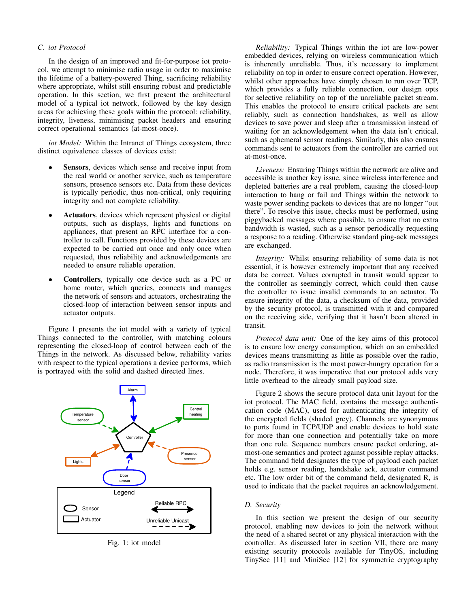## *C. iot Protocol*

In the design of an improved and fit-for-purpose iot protocol, we attempt to minimise radio usage in order to maximise the lifetime of a battery-powered Thing, sacrificing reliability where appropriate, whilst still ensuring robust and predictable operation. In this section, we first present the architectural model of a typical iot network, followed by the key design areas for achieving these goals within the protocol: reliability, integrity, liveness, minimising packet headers and ensuring correct operational semantics (at-most-once).

*iot Model:* Within the Intranet of Things ecosystem, three distinct equivalence classes of devices exist:

- Sensors, devices which sense and receive input from the real world or another service, such as temperature sensors, presence sensors etc. Data from these devices is typically periodic, thus non-critical, only requiring integrity and not complete reliability.
- Actuators, devices which represent physical or digital outputs, such as displays, lights and functions on appliances, that present an RPC interface for a controller to call. Functions provided by these devices are expected to be carried out once and only once when requested, thus reliability and acknowledgements are needed to ensure reliable operation.
- **Controllers**, typically one device such as a PC or home router, which queries, connects and manages the network of sensors and actuators, orchestrating the closed-loop of interaction between sensor inputs and actuator outputs.

Figure 1 presents the iot model with a variety of typical Things connected to the controller, with matching colours representing the closed-loop of control between each of the Things in the network. As discussed below, reliability varies with respect to the typical operations a device performs, which is portrayed with the solid and dashed directed lines.



Fig. 1: iot model

*Reliability:* Typical Things within the iot are low-power embedded devices, relying on wireless communication which is inherently unreliable. Thus, it's necessary to implement reliability on top in order to ensure correct operation. However, whilst other approaches have simply chosen to run over TCP, which provides a fully reliable connection, our design opts for selective reliability on top of the unreliable packet stream. This enables the protocol to ensure critical packets are sent reliably, such as connection handshakes, as well as allow devices to save power and sleep after a transmission instead of waiting for an acknowledgement when the data isn't critical, such as ephemeral sensor readings. Similarly, this also ensures commands sent to actuators from the controller are carried out at-most-once.

*Liveness:* Ensuring Things within the network are alive and accessible is another key issue, since wireless interference and depleted batteries are a real problem, causing the closed-loop interaction to hang or fail and Things within the network to waste power sending packets to devices that are no longer "out there". To resolve this issue, checks must be performed, using piggybacked messages where possible, to ensure that no extra bandwidth is wasted, such as a sensor periodically requesting a response to a reading. Otherwise standard ping-ack messages are exchanged.

*Integrity:* Whilst ensuring reliability of some data is not essential, it is however extremely important that any received data be correct. Values corrupted in transit would appear to the controller as seemingly correct, which could then cause the controller to issue invalid commands to an actuator. To ensure integrity of the data, a checksum of the data, provided by the security protocol, is transmitted with it and compared on the receiving side, verifying that it hasn't been altered in transit.

*Protocol data unit:* One of the key aims of this protocol is to ensure low energy consumption, which on an embedded devices means transmitting as little as possible over the radio, as radio transmission is the most power-hungry operation for a node. Therefore, it was imperative that our protocol adds very little overhead to the already small payload size.

Figure 2 shows the secure protocol data unit layout for the iot protocol. The MAC field, contains the message authentication code (MAC), used for authenticating the integrity of the encrypted fields (shaded grey). Channels are synonymous to ports found in TCP/UDP and enable devices to hold state for more than one connection and potentially take on more than one role. Sequence numbers ensure packet ordering, atmost-one semantics and protect against possible replay attacks. The command field designates the type of payload each packet holds e.g. sensor reading, handshake ack, actuator command etc. The low order bit of the command field, designated R, is used to indicate that the packet requires an acknowledgement.

#### *D. Security*

In this section we present the design of our security protocol, enabling new devices to join the network without the need of a shared secret or any physical interaction with the controller. As discussed later in section VII, there are many existing security protocols available for TinyOS, including TinySec [11] and MiniSec [12] for symmetric cryptography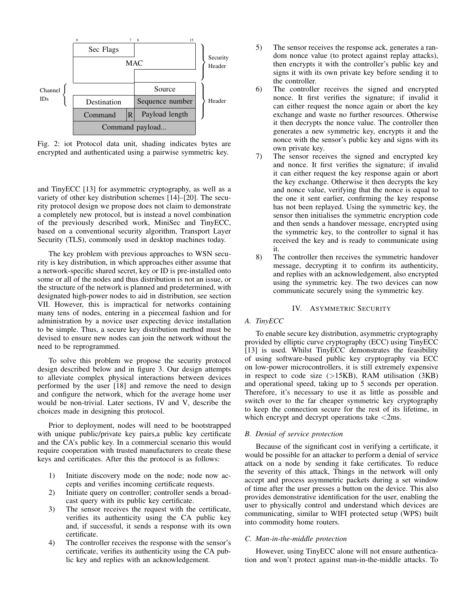

Fig. 2: iot Protocol data unit, shading indicates bytes are encrypted and authenticated using a pairwise symmetric key.

and TinyECC [13] for asymmetric cryptography, as well as a variety of other key distribution schemes [14]–[20]. The security protocol design we propose does not claim to demonstrate a completely new protocol, but is instead a novel combination of the previously described work, MiniSec and TinyECC, based on a conventional security algorithm, Transport Layer Security (TLS), commonly used in desktop machines today.

The key problem with previous approaches to WSN security is key distribution, in which approaches either assume that a network-specific shared secret, key or ID is pre-installed onto some or all of the nodes and thus distribution is not an issue, or the structure of the network is planned and predetermined, with designated high-power nodes to aid in distribution, see section VII. However, this is impractical for networks containing many tens of nodes, entering in a piecemeal fashion and for administration by a novice user expecting device installation to be simple. Thus, a secure key distribution method must be devised to ensure new nodes can join the network without the need to be reprogrammed.

To solve this problem we propose the security protocol design described below and in figure 3. Our design attempts to alleviate complex physical interactions between devices performed by the user [18] and remove the need to design and configure the network, which for the average home user would be non-trivial. Later sections, IV and V, describe the choices made in designing this protocol.

Prior to deployment, nodes will need to be bootstrapped with unique public/private key pairs,a public key certificate and the CA's public key. In a commercial scenario this would require cooperation with trusted manufacturers to create these keys and certificates. After this the protocol is as follows:

- 1) Initiate discovery mode on the node; node now accepts and verifies incoming certificate requests.
- 2) Initiate query on controller; controller sends a broadcast query with its public key certificate.
- 3) The sensor receives the request with the certificate, verifies its authenticity using the CA public key and, if successful, it sends a response with its own certificate.
- 4) The controller receives the response with the sensor's certificate, verifies its authenticity using the CA public key and replies with an acknowledgement.
- 5) The sensor receives the response ack, generates a random nonce value (to protect against replay attacks), then encrypts it with the controller's public key and signs it with its own private key before sending it to the controller.
- 6) The controller receives the signed and encrypted nonce. It first verifies the signature; if invalid it can either request the nonce again or abort the key exchange and waste no further resources. Otherwise it then decrypts the nonce value. The controller then generates a new symmetric key, encrypts it and the nonce with the sensor's public key and signs with its own private key.
- 7) The sensor receives the signed and encrypted key and nonce. It first verifies the signature; if invalid it can either request the key response again or abort the key exchange. Otherwise it then decrypts the key and nonce value, verifying that the nonce is equal to the one it sent earlier, confirming the key response has not been replayed. Using the symmetric key, the sensor then initialises the symmetric encryption code and then sends a handover message, encrypted using the symmetric key, to the controller to signal it has received the key and is ready to communicate using it.
- 8) The controller then receives the symmetric handover message, decrypting it to confirm its authenticity, and replies with an acknowledgement, also encrypted using the symmetric key. The two devices can now communicate securely using the symmetric key.

#### IV. ASYMMETRIC SECURITY

## *A. TinyECC*

To enable secure key distribution, asymmetric cryptography provided by elliptic curve cryptography (ECC) using TinyECC [13] is used. Whilst TinyECC demonstrates the feasibility of using software-based public key cryptography via ECC on low-power microcontrollers, it is still extremely expensive in respect to code size  $(>15KB)$ , RAM utilisation  $(3KB)$ and operational speed, taking up to 5 seconds per operation. Therefore, it's necessary to use it as little as possible and switch over to the far cheaper symmetric key cryptography to keep the connection secure for the rest of its lifetime, in which encrypt and decrypt operations take <2ms.

#### *B. Denial of service protection*

Because of the significant cost in verifying a certificate, it would be possible for an attacker to perform a denial of service attack on a node by sending it fake certificates. To reduce the severity of this attack, Things in the network will only accept and process asymmetric packets during a set window of time after the user presses a button on the device. This also provides demonstrative identification for the user, enabling the user to physically control and understand which devices are communicating, similar to WIFI protected setup (WPS) built into commodity home routers.

#### *C. Man-in-the-middle protection*

However, using TinyECC alone will not ensure authentication and won't protect against man-in-the-middle attacks. To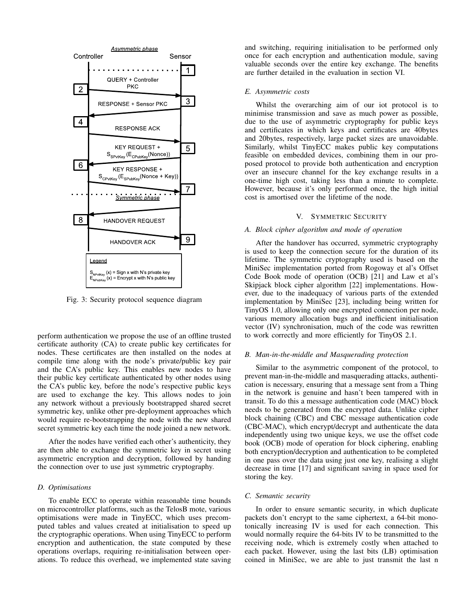

Fig. 3: Security protocol sequence diagram

perform authentication we propose the use of an offline trusted certificate authority (CA) to create public key certificates for nodes. These certificates are then installed on the nodes at compile time along with the node's private/public key pair and the CA's public key. This enables new nodes to have their public key certificate authenticated by other nodes using the CA's public key, before the node's respective public keys are used to exchange the key. This allows nodes to join any network without a previously bootstrapped shared secret symmetric key, unlike other pre-deployment approaches which would require re-bootstrapping the node with the new shared secret symmetric key each time the node joined a new network.

After the nodes have verified each other's authenticity, they are then able to exchange the symmetric key in secret using asymmetric encryption and decryption, followed by handing the connection over to use just symmetric cryptography.

#### *D. Optimisations*

To enable ECC to operate within reasonable time bounds on microcontroller platforms, such as the TelosB mote, various optimisations were made in TinyECC, which uses precomputed tables and values created at initialisation to speed up the cryptographic operations. When using TinyECC to perform encryption and authentication, the state computed by these operations overlaps, requiring re-initialisation between operations. To reduce this overhead, we implemented state saving and switching, requiring initialisation to be performed only once for each encryption and authentication module, saving valuable seconds over the entire key exchange. The benefits are further detailed in the evaluation in section VI.

#### *E. Asymmetric costs*

Whilst the overarching aim of our iot protocol is to minimise transmission and save as much power as possible, due to the use of asymmetric cryptography for public keys and certificates in which keys and certificates are 40bytes and 20bytes, respectively, large packet sizes are unavoidable. Similarly, whilst TinyECC makes public key computations feasible on embedded devices, combining them in our proposed protocol to provide both authentication and encryption over an insecure channel for the key exchange results in a one-time high cost, taking less than a minute to complete. However, because it's only performed once, the high initial cost is amortised over the lifetime of the node.

#### V. SYMMETRIC SECURITY

#### *A. Block cipher algorithm and mode of operation*

After the handover has occurred, symmetric cryptography is used to keep the connection secure for the duration of its lifetime. The symmetric cryptography used is based on the MiniSec implementation ported from Rogoway et al's Offset Code Book mode of operation (OCB) [21] and Law et al's Skipjack block cipher algorithm [22] implementations. However, due to the inadequacy of various parts of the extended implementation by MiniSec [23], including being written for TinyOS 1.0, allowing only one encrypted connection per node, various memory allocation bugs and inefficient initialisation vector (IV) synchronisation, much of the code was rewritten to work correctly and more efficiently for TinyOS 2.1.

#### *B. Man-in-the-middle and Masquerading protection*

Similar to the asymmetric component of the protocol, to prevent man-in-the-middle and masquerading attacks, authentication is necessary, ensuring that a message sent from a Thing in the network is genuine and hasn't been tampered with in transit. To do this a message authentication code (MAC) block needs to be generated from the encrypted data. Unlike cipher block chaining (CBC) and CBC message authentication code (CBC-MAC), which encrypt/decrypt and authenticate the data independently using two unique keys, we use the offset code book (OCB) mode of operation for block ciphering, enabling both encryption/decryption and authentication to be completed in one pass over the data using just one key, realising a slight decrease in time [17] and significant saving in space used for storing the key.

#### *C. Semantic security*

In order to ensure semantic security, in which duplicate packets don't encrypt to the same ciphertext, a 64-bit monotonically increasing IV is used for each connection. This would normally require the 64-bits IV to be transmitted to the receiving node, which is extremely costly when attached to each packet. However, using the last bits (LB) optimisation coined in MiniSec, we are able to just transmit the last n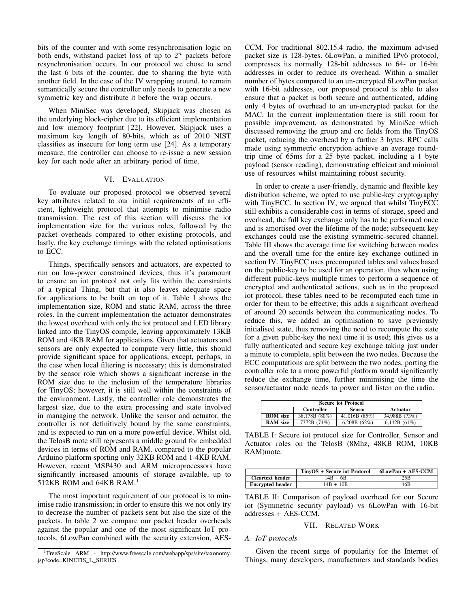bits of the counter and with some resynchronisation logic on both ends, withstand packet loss of up to  $2^n$  packets before resynchronisation occurs. In our protocol we chose to send the last 6 bits of the counter, due to sharing the byte with another field. In the case of the IV wrapping around, to remain semantically secure the controller only needs to generate a new symmetric key and distribute it before the wrap occurs.

When MiniSec was developed, Skipjack was chosen as the underlying block-cipher due to its efficient implementation and low memory footprint [22]. However, Skipjack uses a maximum key length of 80-bits, which as of 2010 NIST classifies as insecure for long term use [24]. As a temporary measure, the controller can choose to re-issue a new session key for each node after an arbitrary period of time.

#### VI. EVALUATION

To evaluate our proposed protocol we observed several key attributes related to our initial requirements of an efficient, lightweight protocol that attempts to minimise radio transmission. The rest of this section will discuss the iot implementation size for the various roles, followed by the packet overheads compared to other existing protocols, and lastly, the key exchange timings with the related optimisations to ECC.

Things, specifically sensors and actuators, are expected to run on low-power constrained devices, thus it's paramount to ensure an iot protocol not only fits within the constraints of a typical Thing, but that it also leaves adequate space for applications to be built on top of it. Table I shows the implementation size, ROM and static RAM, across the three roles. In the current implementation the actuator demonstrates the lowest overhead with only the iot protocol and LED library linked into the TinyOS compile, leaving approximately 13KB ROM and 4KB RAM for applications. Given that actuators and sensors are only expected to compute very little, this should provide significant space for applications, except, perhaps, in the case when local filtering is necessary; this is demonstrated by the sensor role which shows a significant increase in the ROM size due to the inclusion of the temperature libraries for TinyOS; however, it is still well within the constraints of the environment. Lastly, the controller role demonstrates the largest size, due to the extra processing and state involved in managing the network. Unlike the sensor and actuator, the controller is not definitively bound by the same constraints, and is expected to run on a more powerful device. Whilst old, the TelosB mote still represents a middle ground for embedded devices in terms of ROM and RAM, compared to the popular Arduino platform sporting only 32KB ROM and 1-4KB RAM. However, recent MSP430 and ARM microprocessors have significantly increased amounts of storage available, up to 512KB ROM and 64KB RAM.<sup>1</sup>

The most important requirement of our protocol is to minimise radio transmission; in order to ensure this we not only try to decrease the number of packets sent but also the size of the packets. In table 2 we compare our packet header overheads against the popular and one of the most significant IoT protocols, 6LowPan combined with the security extension, AES-

<sup>1</sup>FreeScale ARM - http://www.freescale.com/webapp/sps/site/taxonomy. jsp?code=KINETIS L SERIES

CCM. For traditional 802.15.4 radio, the maximum advised packet size is 128-bytes. 6LowPan, a minified IPv6 protocol, compresses its normally 128-bit addresses to 64- or 16-bit addresses in order to reduce its overhead. Within a smaller number of bytes compared to an un-encrypted 6LowPan packet with 16-bit addresses, our proposed protocol is able to also ensure that a packet is both secure and authenticated, adding only 4 bytes of overhead to an un-encrypted packet for the MAC. In the current implementation there is still room for possible improvement, as demonstrated by MiniSec which discussed removing the group and crc fields from the TinyOS packet, reducing the overhead by a further 3 bytes. RPC calls made using symmetric encryption achieve an average roundtrip time of 65ms for a 25 byte packet, including a 1 byte payload (sensor reading), demonstrating efficient and minimal use of resources whilst maintaining robust security.

In order to create a user-friendly, dynamic and flexible key distribution scheme, we opted to use public-key cryptography with TinyECC. In section IV, we argued that whilst TinyECC still exhibits a considerable cost in terms of storage, speed and overhead, the full key exchange only has to be performed once and is amortised over the lifetime of the node; subsequent key exchanges could use the existing symmetric-secured channel. Table III shows the average time for switching between modes and the overall time for the entire key exchange outlined in section IV. TinyECC uses precomputed tables and values based on the public-key to be used for an operation, thus when using different public-keys multiple times to perform a sequence of encrypted and authenticated actions, such as in the proposed iot protocol, these tables need to be recomputed each time in order for them to be effective; this adds a significant overhead of around 20 seconds between the communicating nodes. To reduce this, we added an optimisation to save previously initialised state, thus removing the need to recompute the state for a given public-key the next time it is used; this gives us a fully authenticated and secure key exchange taking just under a minute to complete, split between the two nodes. Because the ECC computations are split between the two nodes, porting the controller role to a more powerful platform would significantly reduce the exchange time, further minimising the time the sensor/actuator node needs to power and listen on the radio.

| <b>Secure jot Protocol</b> |                   |                 |                 |
|----------------------------|-------------------|-----------------|-----------------|
|                            | <b>Controller</b> | Sensor          | Actuator        |
| <b>ROM</b> size            | 38,178B (80%)     | 41,016B $(85%)$ | 34.988B (73%)   |
| <b>RAM</b> size            | 7372B (74%)       | 6.208B $(62\%)$ | 6.142B $(61\%)$ |

TABLE I: Secure iot protocol size for Controller, Sensor and Actuator roles on the TelosB (8Mhz, 48KB ROM, 10KB RAM)mote.

|                         | TinyOS + Secure iot Protocol | 6LowPan + AES-CCM |
|-------------------------|------------------------------|-------------------|
| <b>Cleartext header</b> | $14B + 6B$                   | 25B               |
| <b>Encrypted header</b> | $14B + 10B$                  | 46B               |

TABLE II: Comparison of payload overhead for our Secure iot (Symmetric security payload) vs 6LowPan with 16-bit addresses + AES-CCM.

#### VII. RELATED WORK

## *A. IoT protocols*

Given the recent surge of popularity for the Internet of Things, many developers, manufacturers and standards bodies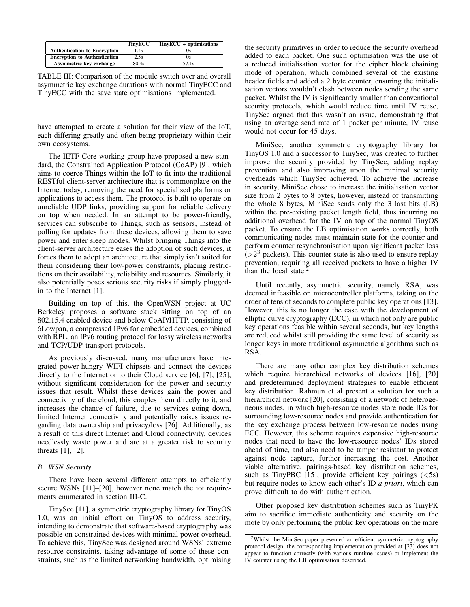|                                     | <b>TinvECC</b> | $TinyECC + optimisations$ |
|-------------------------------------|----------------|---------------------------|
| <b>Authentication to Encryption</b> | 1.4s           |                           |
| <b>Encryption to Authentication</b> | 2.5s           |                           |
| Asymmetric key exchange             | 80.4s          | 57.1s                     |

TABLE III: Comparison of the module switch over and overall asymmetric key exchange durations with normal TinyECC and TinyECC with the save state optimisations implemented.

have attempted to create a solution for their view of the IoT, each differing greatly and often being proprietary within their own ecosystems.

The IETF Core working group have proposed a new standard, the Constrained Application Protocol (CoAP) [9], which aims to coerce Things within the IoT to fit into the traditional RESTful client-server architecture that is commonplace on the Internet today, removing the need for specialised platforms or applications to access them. The protocol is built to operate on unreliable UDP links, providing support for reliable delivery on top when needed. In an attempt to be power-friendly, services can subscribe to Things, such as sensors, instead of polling for updates from these devices, allowing them to save power and enter sleep modes. Whilst bringing Things into the client-server architecture eases the adoption of such devices, it forces them to adopt an architecture that simply isn't suited for them considering their low-power constraints, placing restrictions on their availability, reliability and resources. Similarly, it also potentially poses serious security risks if simply pluggedin to the Internet [1].

Building on top of this, the OpenWSN project at UC Berkeley proposes a software stack sitting on top of an 802.15.4 enabled device and below CoAP/HTTP, consisting of 6Lowpan, a compressed IPv6 for embedded devices, combined with RPL, an IPv6 routing protocol for lossy wireless networks and TCP/UDP transport protocols.

As previously discussed, many manufacturers have integrated power-hungry WIFI chipsets and connect the devices directly to the Internet or to their Cloud service [6], [7], [25], without significant consideration for the power and security issues that result. Whilst these devices gain the power and connectivity of the cloud, this couples them directly to it, and increases the chance of failure, due to services going down, limited Internet connectivity and potentially raises issues regarding data ownership and privacy/loss [26]. Additionally, as a result of this direct Internet and Cloud connectivity, devices needlessly waste power and are at a greater risk to security threats [1], [2].

#### *B. WSN Security*

There have been several different attempts to efficiently secure WSNs [11]–[20], however none match the iot requirements enumerated in section III-C.

TinySec [11], a symmetric cryptography library for TinyOS 1.0, was an initial effort on TinyOS to address security, intending to demonstrate that software-based cryptography was possible on constrained devices with minimal power overhead. To achieve this, TinySec was designed around WSNs' extreme resource constraints, taking advantage of some of these constraints, such as the limited networking bandwidth, optimising the security primitives in order to reduce the security overhead added to each packet. One such optimisation was the use of a reduced initialisation vector for the cipher block chaining mode of operation, which combined several of the existing header fields and added a 2 byte counter, ensuring the initialisation vectors wouldn't clash between nodes sending the same packet. Whilst the IV is significantly smaller than conventional security protocols, which would reduce time until IV reuse, TinySec argued that this wasn't an issue, demonstrating that using an average send rate of 1 packet per minute, IV reuse would not occur for 45 days.

MiniSec, another symmetric cryptography library for TinyOS 1.0 and a successor to TinySec, was created to further improve the security provided by TinySec, adding replay prevention and also improving upon the minimal security overheads which TinySec achieved. To achieve the increase in security, MiniSec chose to increase the initialisation vector size from 2 bytes to 8 bytes, however, instead of transmitting the whole 8 bytes, MiniSec sends only the 3 last bits (LB) within the pre-existing packet length field, thus incurring no additional overhead for the IV on top of the normal TinyOS packet. To ensure the LB optimisation works correctly, both communicating nodes must maintain state for the counter and perform counter resynchronisation upon significant packet loss  $(>2<sup>3</sup>$  packets). This counter state is also used to ensure replay prevention, requiring all received packets to have a higher IV than the local state. $\frac{3}{2}$ 

Until recently, asymmetric security, namely RSA, was deemed infeasible on microcontroller platforms, taking on the order of tens of seconds to complete public key operations [13]. However, this is no longer the case with the development of elliptic curve cryptography (ECC), in which not only are public key operations feasible within several seconds, but key lengths are reduced whilst still providing the same level of security as longer keys in more traditional asymmetric algorithms such as RSA.

There are many other complex key distribution schemes which require hierarchical networks of devices [16], [20] and predetermined deployment strategies to enable efficient key distribution. Rahmun et al present a solution for such a hierarchical network [20], consisting of a network of heterogeneous nodes, in which high-resource nodes store node IDs for surrounding low-resource nodes and provide authentication for the key exchange process between low-resource nodes using ECC. However, this scheme requires expensive high-resource nodes that need to have the low-resource nodes' IDs stored ahead of time, and also need to be tamper resistant to protect against node capture, further increasing the cost. Another viable alternative, pairings-based key distribution schemes, such as TinyPBC [15], provide efficient key pairings  $\langle$  <5s) but require nodes to know each other's ID *a priori*, which can prove difficult to do with authentication.

Other proposed key distribution schemes such as TinyPK aim to sacrifice immediate authenticity and security on the mote by only performing the public key operations on the more

<sup>2</sup>Whilst the MiniSec paper presented an efficient symmetric cryptography protocol design, the corresponding implementation provided at [23] does not appear to function correctly (with various runtime issues) or implement the IV counter using the LB optimisation described.